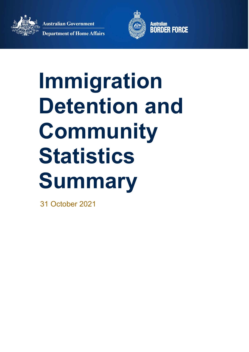**Department of Home Affairs** 

**Australian Government** 



Australian<br>**BORDER FORCE** 

# **Immigration Detention and Community Statistics Summary**

31 October 2021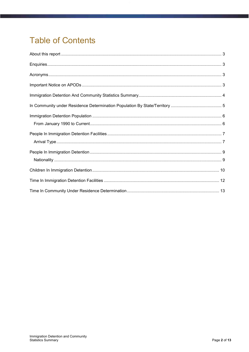# **Table of Contents**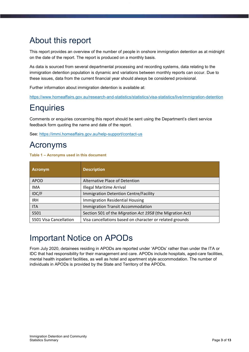### <span id="page-2-0"></span>About this report

This report provides an overview of the number of people in onshore immigration detention as at midnight on the date of the report. The report is produced on a monthly basis.

As data is sourced from several departmental processing and recording systems, data relating to the immigration detention population is dynamic and variations between monthly reports can occur. Due to these issues, data from the current financial year should always be considered provisional.

Further information about immigration detention is available at:

<https://www.homeaffairs.gov.au/research-and-statistics/statistics/visa-statistics/live/immigration-detention>

### <span id="page-2-1"></span>**Enquiries**

Comments or enquiries concerning this report should be sent using the Department's client service feedback form quoting the name and date of the report.

See: <https://immi.homeaffairs.gov.au/help-support/contact-us>

### <span id="page-2-2"></span>Acronyms

**Table 1 – Acronyms used in this document** 

| <b>Acronym</b>         | <b>Description</b>                                        |
|------------------------|-----------------------------------------------------------|
| <b>APOD</b>            | Alternative Place of Detention                            |
| <b>IMA</b>             | <b>Illegal Maritime Arrival</b>                           |
| IDC/F                  | Immigration Detention Centre/Facility                     |
| <b>IRH</b>             | <b>Immigration Residential Housing</b>                    |
| <b>ITA</b>             | Immigration Transit Accommodation                         |
| S501                   | Section 501 of the Migration Act 1958 (the Migration Act) |
| S501 Visa Cancellation | Visa cancellations based on character or related grounds  |

### <span id="page-2-3"></span>Important Notice on APODs

From July 2020, detainees residing in APODs are reported under 'APODs' rather than under the ITA or IDC that had responsibility for their management and care. APODs include hospitals, aged-care facilities, mental health inpatient facilities, as well as hotel and apartment style accommodation. The number of individuals in APODs is provided by the State and Territory of the APODs.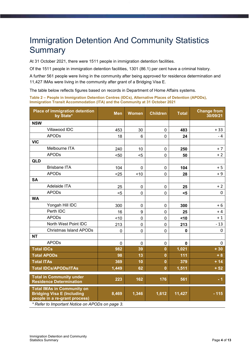### <span id="page-3-0"></span>Immigration Detention And Community Statistics **Summary**

At 31 October 2021, there were 1511 people in immigration detention facilities.

Of the 1511 people in immigration detention facilities, 1301 (86.1) per cent have a criminal history.

A further 561 people were living in the community after being approved for residence determination and 11,427 IMAs were living in the community after grant of a Bridging Visa E.

The table below reflects figures based on records in Department of Home Affairs systems.

**Table 2 – People in Immigration Detention Centres (IDCs), Alternative Places of Detention (APODs), Immigration Transit Accommodation (ITA) and the Community at 31 October 2021** 

| <b>Place of immigration detention</b><br>by State*                                                                                                         | <b>Men</b>  | <b>Women</b>   | <b>Children</b> | <b>Total</b> | <b>Change from</b><br>30/09/21 |
|------------------------------------------------------------------------------------------------------------------------------------------------------------|-------------|----------------|-----------------|--------------|--------------------------------|
| <b>NSW</b>                                                                                                                                                 |             |                |                 |              |                                |
| Villawood IDC                                                                                                                                              | 453         | 30             | $\mathbf 0$     | 483          | $+33$                          |
| <b>APODs</b>                                                                                                                                               | 18          | 6              | 0               | 24           | - 4                            |
| <b>VIC</b>                                                                                                                                                 |             |                |                 |              |                                |
| Melbourne ITA                                                                                                                                              | 240         | 10             | $\mathbf 0$     | 250          | $+7$                           |
| <b>APODs</b>                                                                                                                                               | $50$        | $5$            | 0               | 50           | $+2$                           |
| QLD                                                                                                                                                        |             |                |                 |              |                                |
| <b>Brisbane ITA</b>                                                                                                                                        | 104         | $\overline{0}$ | $\mathbf 0$     | 104          | $+5$                           |
| <b>APODs</b>                                                                                                                                               | $25$        | ~10            | 0               | 28           | $+9$                           |
| <b>SA</b>                                                                                                                                                  |             |                |                 |              |                                |
| Adelaide ITA                                                                                                                                               | 25          | $\pmb{0}$      | $\mathbf 0$     | 25           | $+2$                           |
| <b>APODs</b>                                                                                                                                               | $5$         | $\mathbf 0$    | 0               | $5$          | 0                              |
| <b>WA</b>                                                                                                                                                  |             |                |                 |              |                                |
| Yongah Hill IDC                                                                                                                                            | 300         | $\mathbf 0$    | 0               | 300          | + 6                            |
| Perth IDC                                                                                                                                                  | 16          | 9              | 0               | 25           | + 4                            |
| <b>APODs</b>                                                                                                                                               | ~10         | $\mathbf 0$    | 0               | <10          | $+1$                           |
| North West Point IDC                                                                                                                                       | 213         | $\overline{0}$ | 0               | 213          | $-13$                          |
| <b>Christmas Island APODs</b>                                                                                                                              | $\mathbf 0$ | $\mathbf 0$    | $\mathbf 0$     | $\mathbf 0$  | 0                              |
| <b>NT</b>                                                                                                                                                  |             |                |                 |              |                                |
| <b>APODs</b>                                                                                                                                               | 0           | $\mathbf 0$    | $\mathbf 0$     | 0            | 0                              |
| <b>Total IDCs</b>                                                                                                                                          | 982         | 39             | $\mathbf{0}$    | 1,021        | $+30$                          |
| <b>Total APODs</b>                                                                                                                                         | 98          | 13             | $\mathbf{0}$    | 111          | $+8$                           |
| <b>Total ITAs</b>                                                                                                                                          | 369         | 10             | $\mathbf{0}$    | 379          | $+14$                          |
| <b>Total IDCs/APODs/ITAs</b>                                                                                                                               | 1,449       | 62             | $\mathbf{0}$    | 1,511        | $+52$                          |
| <b>Total in Community under</b><br><b>Residence Determination</b>                                                                                          | 223         | 162            | 176             | 561          | - 1                            |
| <b>Total IMAs in Community on</b><br><b>Bridging Visa E (Including</b><br>people in a re-grant process)<br>* Refer to Important Notice on APODs on page 3. | 8,469       | 1,346          | 1,612           | 11,427       | $-115$                         |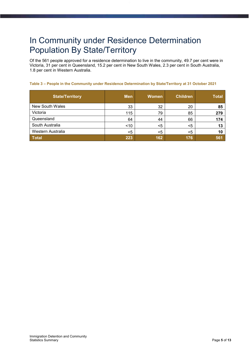### <span id="page-4-0"></span>In Community under Residence Determination Population By State/Territory

Of the 561 people approved for a residence determination to live in the community, 49.7 per cent were in Victoria, 31 per cent in Queensland, 15.2 per cent in New South Wales, 2.3 per cent in South Australia, 1.8 per cent in Western Australia.

#### **Table 3 – People in the Community under Residence Determination by State/Territory at 31 October 2021**

| <b>State/Territory</b> | <b>Men</b> | <b>Women</b> | <b>Children</b> | <b>Total</b> |
|------------------------|------------|--------------|-----------------|--------------|
| <b>New South Wales</b> | 33         | 32           | 20              | 85           |
| Victoria               | 115        | 79           | 85              | 279          |
| Queensland             | 64         | 44           | 66              | 174          |
| South Australia        | < 10       | $<$ 5        | $<$ 5           | 13           |
| Western Australia      | $<$ 5      | $<$ 5        | $<$ 5           | 10           |
| <b>Total</b>           | 223        | 162          | 176             | 561          |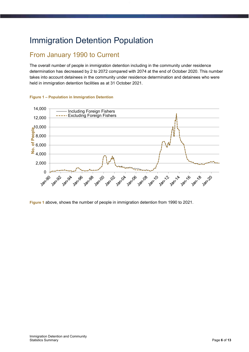### <span id="page-5-0"></span>Immigration Detention Population

### <span id="page-5-1"></span>From January 1990 to Current

The overall number of people in immigration detention including in the community under residence determination has decreased by 2 to 2072 compared with 2074 at the end of October 2020. This number takes into account detainees in the community under residence determination and detainees who were held in immigration detention facilities as at 31 October 2021.



#### <span id="page-5-2"></span>**Figure 1 – Population in Immigration Detention**

**Figure 1** [above,](#page-5-2) shows the number of people in immigration detention from 1990 to 2021.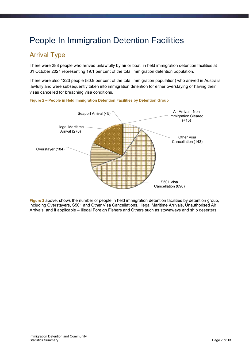### <span id="page-6-0"></span>People In Immigration Detention Facilities

### <span id="page-6-1"></span>Arrival Type

There were 288 people who arrived unlawfully by air or boat, in held immigration detention facilities at 31 October 2021 representing 19.1 per cent of the total immigration detention population.

There were also 1223 people (80.9 per cent of the total immigration population) who arrived in Australia lawfully and were subsequently taken into immigration detention for either overstaying or having their visas cancelled for breaching visa conditions.



<span id="page-6-2"></span>**Figure 2 – People in Held Immigration Detention Facilities by Detention Group** 

**[Figure 2](#page-6-2)** [above,](#page-6-2) shows the number of people in held immigration detention facilities by detention group, including Overstayers, S501 and Other Visa Cancellations, Illegal Maritime Arrivals, Unauthorised Air Arrivals, and if applicable – Illegal Foreign Fishers and Others such as stowaways and ship deserters.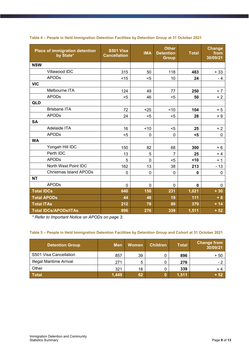| <b>Place of immigration detention</b><br>by State* | <b>S501 Visa</b><br><b>Cancellation</b> | <b>IMA</b>  | <b>Other</b><br><b>Detention</b><br><b>Group</b> | <b>Total</b> | <b>Change</b><br>from<br>30/09/21 |
|----------------------------------------------------|-----------------------------------------|-------------|--------------------------------------------------|--------------|-----------------------------------|
| <b>NSW</b>                                         |                                         |             |                                                  |              |                                   |
| Villawood IDC                                      | 315                                     | 50          | 118                                              | 483          | $+33$                             |
| <b>APODs</b>                                       | < 15                                    | $5$         | 10                                               | 24           | - 4                               |
| <b>VIC</b>                                         |                                         |             |                                                  |              |                                   |
| Melbourne ITA                                      | 124                                     | 49          | 77                                               | 250          | $+7$                              |
| <b>APODs</b>                                       | $5$                                     | 46          | $5$                                              | 50           | $+2$                              |
| <b>QLD</b>                                         |                                         |             |                                                  |              |                                   |
| <b>Brisbane ITA</b>                                | 72                                      | $25$        | < 10                                             | 104          | $+5$                              |
| <b>APODs</b>                                       | 24                                      | $5$         | $5$                                              | 28           | $+9$                              |
| <b>SA</b>                                          |                                         |             |                                                  |              |                                   |
| Adelaide ITA                                       | 16                                      | ~10         | $5$                                              | 25           | $+2$                              |
| <b>APODs</b>                                       | $5$                                     | 0           | $\mathbf 0$                                      | $5$          | $\mathbf 0$                       |
| <b>WA</b>                                          |                                         |             |                                                  |              |                                   |
| Yongah Hill IDC                                    | 150                                     | 82          | 68                                               | 300          | $+6$                              |
| Perth IDC                                          | 13                                      | 5           | 7                                                | 25           | + 4                               |
| <b>APODs</b>                                       | 5                                       | 0           | $5$                                              | <10          | $+1$                              |
| North West Point IDC                               | 162                                     | 13          | 38                                               | 213          | $-13$                             |
| <b>Christmas Island APODs</b>                      | $\mathbf 0$                             | 0           | $\overline{0}$                                   | 0            | $\mathbf 0$                       |
| <b>NT</b>                                          |                                         |             |                                                  |              |                                   |
| <b>APODs</b>                                       | $\mathbf 0$                             | $\mathbf 0$ | $\mathbf 0$                                      | $\mathbf 0$  | 0                                 |
| <b>Total IDCs</b>                                  | 640                                     | 150         | 231                                              | 1,021        | $+30$                             |
| <b>Total APODs</b>                                 | 44                                      | 48          | 19                                               | 111          | $+8$                              |
| <b>Total ITAs</b>                                  | 212                                     | 78          | 89                                               | 379          | $+14$                             |
| <b>Total IDCs/APODs/ITAs</b>                       | 896                                     | 276         | 339                                              | 1,511        | $+52$                             |

#### **Table 4 – People in Held Immigration Detention Facilities by Detention Group at 31 October 2021**

*\* Refer to Important Notice on APODs on page 3.*

#### **Table 5 – People in Held Immigration Detention Facilities by Detention Group and Cohort at 31 October 2021**

| <b>Detention Group</b>          | <b>Men</b> | Women | <b>Children</b> | <b>Total</b> | <b>Change from</b><br>30/09/21 |
|---------------------------------|------------|-------|-----------------|--------------|--------------------------------|
| S501 Visa Cancellation          | 857        | 39    | U               | 896          | $+50$                          |
| <b>Illegal Maritime Arrival</b> | 271        | 5     |                 | 276          | н.,                            |
| Other                           | 321        | 18    |                 | 339          | + 4                            |
| <b>Total</b>                    | 1,449      | 62    |                 | 1,511        | $+52$                          |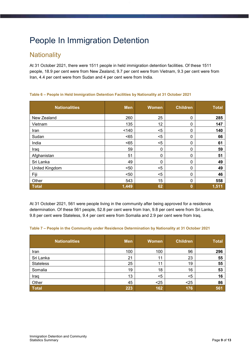# <span id="page-8-0"></span>People In Immigration Detention

### <span id="page-8-1"></span>**Nationality**

At 31 October 2021, there were 1511 people in held immigration detention facilities. Of these 1511 people, 18.9 per cent were from New Zealand, 9.7 per cent were from Vietnam, 9.3 per cent were from Iran, 4.4 per cent were from Sudan and 4 per cent were from India.

| <b>Nationalities</b> | <b>Men</b> | <b>Women</b>     | <b>Children</b> | <b>Total</b> |
|----------------------|------------|------------------|-----------------|--------------|
| New Zealand          | 260        | 25               | 0               | 285          |
| Vietnam              | 135        | 12               | 0               | 147          |
| Iran                 | < 140      | $5$              | 0               | 140          |
| Sudan                | $65$       | $5$              | 0               | 66           |
| India                | $65$       | $5$              | 0               | 61           |
| Iraq                 | 59         | $\boldsymbol{0}$ | 0               | 59           |
| Afghanistan          | 51         | $\boldsymbol{0}$ | 0               | 51           |
| Sri Lanka            | 49         | 0                | 0               | 49           |
| United Kingdom       | < 50       | $5$              | 0               | 49           |
| Fiji                 | $50$       | $5$              | 0               | 46           |
| Other                | 543        | 15               | 0               | 558          |
| <b>Total</b>         | 1,449      | 62               | 0               | 1,511        |

#### **Table 6 – People in Held Immigration Detention Facilities by Nationality at 31 October 2021**

At 31 October 2021, 561 were people living in the community after being approved for a residence determination. Of these 561 people, 52.8 per cent were from Iran, 9.8 per cent were from Sri Lanka, 9.8 per cent were Stateless, 9.4 per cent were from Somalia and 2.9 per cent were from Iraq.

#### **Table 7 – People in the Community under Residence Determination by Nationality at 31 October 2021**

| <b>Nationalities</b> | <b>Men</b> | <b>Women</b> | <b>Children</b> | <b>Total</b> |
|----------------------|------------|--------------|-----------------|--------------|
| Iran                 | 100        | 100          | 96              | 296          |
| Sri Lanka            | 21         | 11           | 23              | 55           |
| <b>Stateless</b>     | 25         | 11           | 19              | 55           |
| Somalia              | 19         | 18           | 16              | 53           |
| Iraq                 | 13         | <5           | $<$ 5           | 16           |
| Other                | 45         | $25$         | $25$            | 86           |
| <b>Total</b>         | 223        | 162          | 176             | 561          |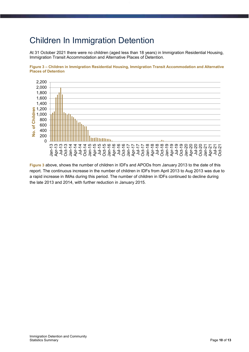### <span id="page-9-0"></span>Children In Immigration Detention

<span id="page-9-1"></span>At 31 October 2021 there were no children (aged less than 18 years) in Immigration Residential Housing, Immigration Transit Accommodation and Alternative Places of Detention.





**Figure 3** [above,](#page-9-1) shows the number of children in IDFs and APODs from January 2013 to the date of this report. The continuous increase in the number of children in IDFs from April 2013 to Aug 2013 was due to a rapid increase in IMAs during this period. The number of children in IDFs continued to decline during the late 2013 and 2014, with further reduction in January 2015.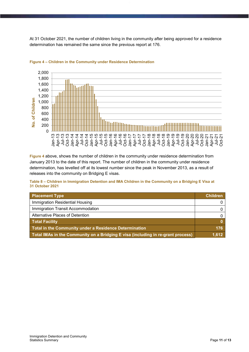At 31 October 2021, the number of children living in the community after being approved for a residence determination has remained the same since the previous report at 176.



#### <span id="page-10-0"></span>**Figure 4 – Children in the Community under Residence Determination**

**[Figure 4](#page-10-0)** [above,](#page-10-0) shows the number of children in the community under residence determination from January 2013 to the date of this report. The number of children in the community under residence determination, has levelled off at its lowest number since the peak in November 2013, as a result of releases into the community on Bridging E visas.

#### **Table 8 – Children in Immigration Detention and IMA Children in the Community on a Bridging E Visa at 31 October 2021**

| <b>Placement Type</b>                                                            | <b>Children</b> |
|----------------------------------------------------------------------------------|-----------------|
| Immigration Residential Housing                                                  |                 |
| Immigration Transit Accommodation                                                |                 |
| Alternative Places of Detention                                                  |                 |
| <b>Total Facility</b>                                                            |                 |
| Total in the Community under a Residence Determination                           | 176             |
| Total IMAs in the Community on a Bridging E visa (including in re-grant process) | 1.612           |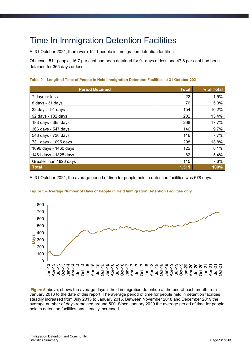## <span id="page-11-0"></span>Time In Immigration Detention Facilities

At 31 October 2021, there were 1511 people in immigration detention facilities.

Of these 1511 people, 16.7 per cent had been detained for 91 days or less and 47.8 per cent had been detained for 365 days or less.

#### **Table 9 – Length of Time of People in Held Immigration Detention Facilities at 31 October 2021**

| <b>Period Detained</b> | <b>Total</b> | % of Total |
|------------------------|--------------|------------|
| 7 days or less         | 22           | 1.5%       |
| 8 days - 31 days       | 76           | 5.0%       |
| 32 days - 91 days      | 154          | 10.2%      |
| 92 days - 182 days     | 202          | 13.4%      |
| 183 days - 365 days    | 268          | 17.7%      |
| 366 days - 547 days    | 146          | 9.7%       |
| 548 days - 730 days    | 116          | 7.7%       |
| 731 days - 1095 days   | 208          | 13.8%      |
| 1096 days - 1460 days  | 122          | 8.1%       |
| 1461 days - 1825 days  | 82           | 5.4%       |
| Greater than 1826 days | 115          | 7.6%       |
| <b>Total</b>           | 1,511        | 100%       |

<span id="page-11-1"></span>At 31 October 2021, the average period of time for people held in detention facilities was 678 days.



#### **Figure 5 – Average Number of Days of People in Held Immigration Detention Facilities only**

 **Figure 5** [above,](#page-11-1) shows the average days in held immigration detention at the end of each month from January 2013 to the date of this report. The average period of time for people held in detention facilities steadily increased from July 2013 to January 2015. Between November 2018 and December 2019 the average number of days remained around 500. Since January 2020 the average period of time for people held in detention facilities has steadily increased.